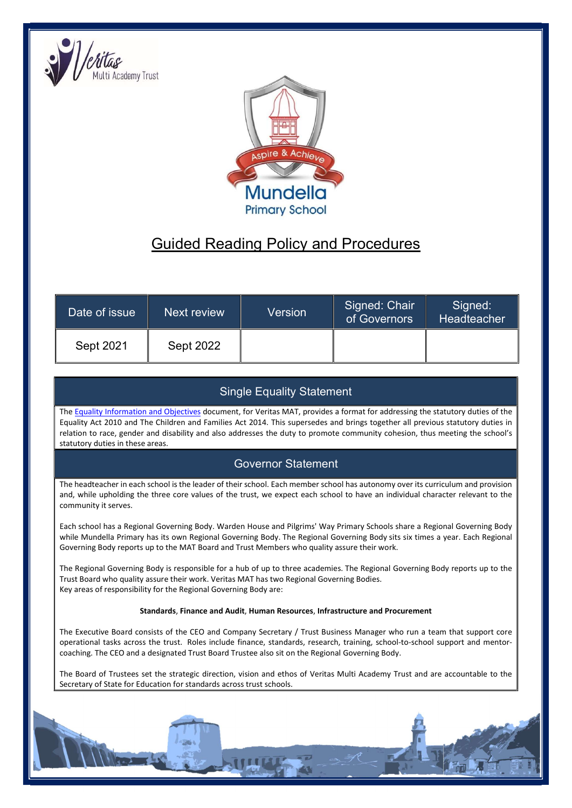



# Guided Reading Policy and Procedures

| Date of issue | Next review      | Version | Signed: Chair<br>of Governors | Signed:<br>Headteacher |
|---------------|------------------|---------|-------------------------------|------------------------|
| Sept 2021     | <b>Sept 2022</b> |         |                               |                        |

## Single Equality Statement

The Equality Information and Objectives document, for Veritas MAT, provides a format for addressing the statutory duties of the Equality Act 2010 and The Children and Families Act 2014. This supersedes and brings together all previous statutory duties in relation to race, gender and disability and also addresses the duty to promote community cohesion, thus meeting the school's statutory duties in these areas.

## Governor Statement

The headteacher in each school is the leader of their school. Each member school has autonomy over its curriculum and provision and, while upholding the three core values of the trust, we expect each school to have an individual character relevant to the community it serves.

Each school has a Regional Governing Body. Warden House and Pilgrims' Way Primary Schools share a Regional Governing Body while Mundella Primary has its own Regional Governing Body. The Regional Governing Body sits six times a year. Each Regional Governing Body reports up to the MAT Board and Trust Members who quality assure their work.

The Regional Governing Body is responsible for a hub of up to three academies. The Regional Governing Body reports up to the Trust Board who quality assure their work. Veritas MAT has two Regional Governing Bodies. Key areas of responsibility for the Regional Governing Body are:

#### Standards, Finance and Audit, Human Resources, Infrastructure and Procurement

The Executive Board consists of the CEO and Company Secretary / Trust Business Manager who run a team that support core operational tasks across the trust. Roles include finance, standards, research, training, school-to-school support and mentorcoaching. The CEO and a designated Trust Board Trustee also sit on the Regional Governing Body.

The Board of Trustees set the strategic direction, vision and ethos of Veritas Multi Academy Trust and are accountable to the Secretary of State for Education for standards across trust schools.

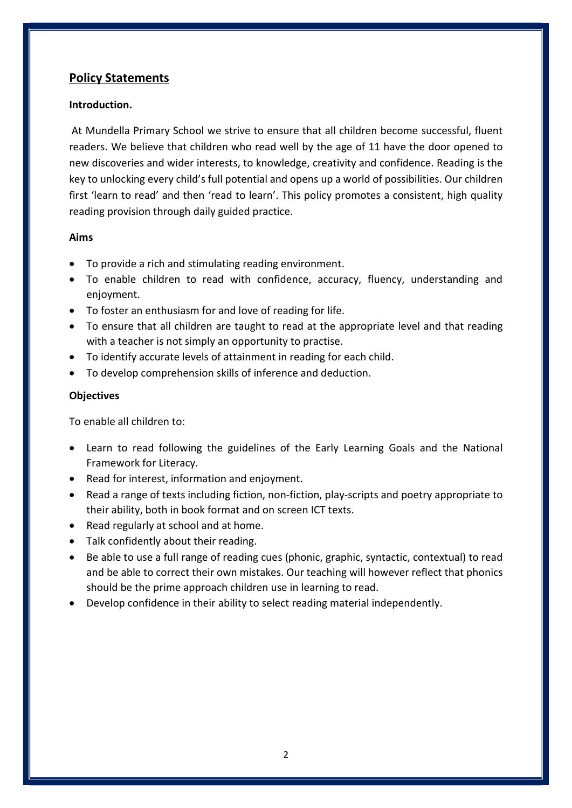## Policy Statements

### Introduction.

At Mundella Primary School we strive to ensure that all children become successful, fluent readers. We believe that children who read well by the age of 11 have the door opened to new discoveries and wider interests, to knowledge, creativity and confidence. Reading is the key to unlocking every child's full potential and opens up a world of possibilities. Our children first 'learn to read' and then 'read to learn'. This policy promotes a consistent, high quality reading provision through daily guided practice.

#### Aims

- To provide a rich and stimulating reading environment.
- To enable children to read with confidence, accuracy, fluency, understanding and enjoyment.
- To foster an enthusiasm for and love of reading for life.
- To ensure that all children are taught to read at the appropriate level and that reading with a teacher is not simply an opportunity to practise.
- To identify accurate levels of attainment in reading for each child.
- To develop comprehension skills of inference and deduction.

#### **Objectives**

To enable all children to:

- Learn to read following the guidelines of the Early Learning Goals and the National Framework for Literacy.
- Read for interest, information and enjoyment.
- Read a range of texts including fiction, non-fiction, play-scripts and poetry appropriate to their ability, both in book format and on screen ICT texts.
- Read regularly at school and at home.
- Talk confidently about their reading.
- Be able to use a full range of reading cues (phonic, graphic, syntactic, contextual) to read and be able to correct their own mistakes. Our teaching will however reflect that phonics should be the prime approach children use in learning to read.
- Develop confidence in their ability to select reading material independently.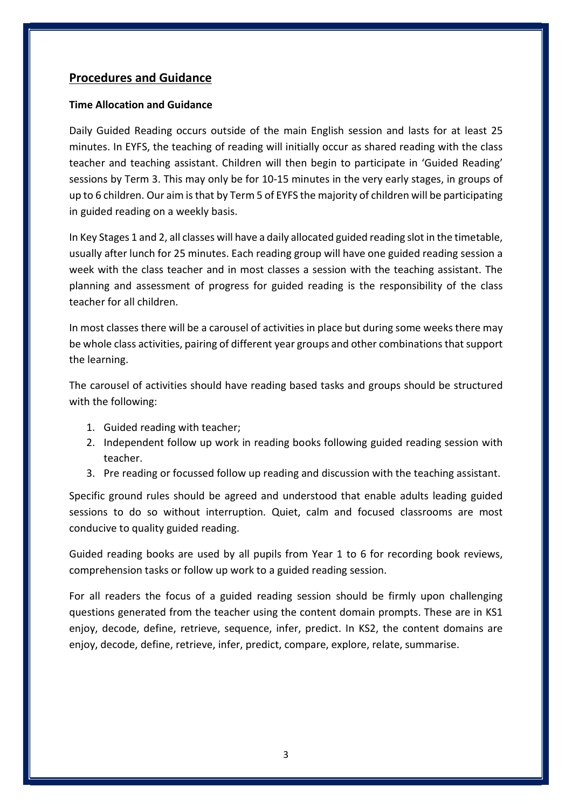## Procedures and Guidance

#### Time Allocation and Guidance

Daily Guided Reading occurs outside of the main English session and lasts for at least 25 minutes. In EYFS, the teaching of reading will initially occur as shared reading with the class teacher and teaching assistant. Children will then begin to participate in 'Guided Reading' sessions by Term 3. This may only be for 10-15 minutes in the very early stages, in groups of up to 6 children. Our aim is that by Term 5 of EYFS the majority of children will be participating in guided reading on a weekly basis.

In Key Stages 1 and 2, all classes will have a daily allocated guided reading slot in the timetable, usually after lunch for 25 minutes. Each reading group will have one guided reading session a week with the class teacher and in most classes a session with the teaching assistant. The planning and assessment of progress for guided reading is the responsibility of the class teacher for all children.

In most classes there will be a carousel of activities in place but during some weeks there may be whole class activities, pairing of different year groups and other combinations that support the learning.

The carousel of activities should have reading based tasks and groups should be structured with the following:

- 1. Guided reading with teacher;
- 2. Independent follow up work in reading books following guided reading session with teacher.
- 3. Pre reading or focussed follow up reading and discussion with the teaching assistant.

Specific ground rules should be agreed and understood that enable adults leading guided sessions to do so without interruption. Quiet, calm and focused classrooms are most conducive to quality guided reading.

Guided reading books are used by all pupils from Year 1 to 6 for recording book reviews, comprehension tasks or follow up work to a guided reading session.

For all readers the focus of a guided reading session should be firmly upon challenging questions generated from the teacher using the content domain prompts. These are in KS1 enjoy, decode, define, retrieve, sequence, infer, predict. In KS2, the content domains are enjoy, decode, define, retrieve, infer, predict, compare, explore, relate, summarise.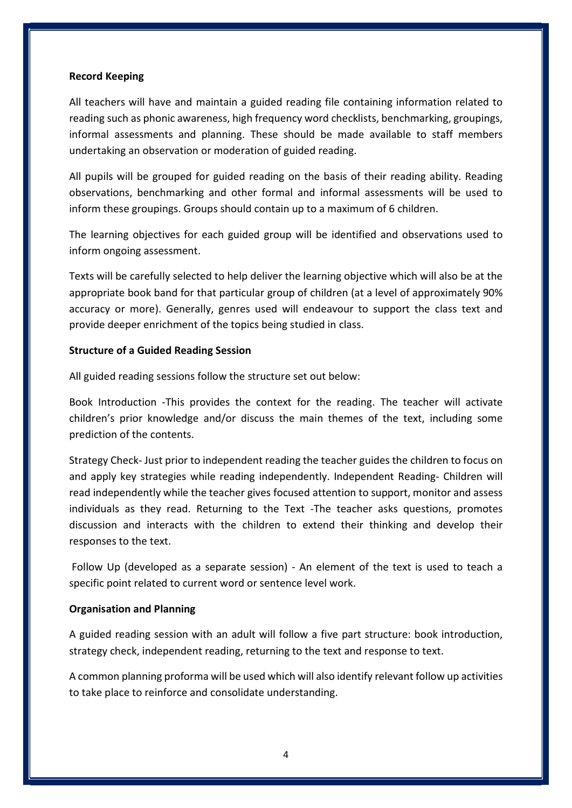#### Record Keeping

All teachers will have and maintain a guided reading file containing information related to reading such as phonic awareness, high frequency word checklists, benchmarking, groupings, informal assessments and planning. These should be made available to staff members undertaking an observation or moderation of guided reading.

All pupils will be grouped for guided reading on the basis of their reading ability. Reading observations, benchmarking and other formal and informal assessments will be used to inform these groupings. Groups should contain up to a maximum of 6 children.

The learning objectives for each guided group will be identified and observations used to inform ongoing assessment.

Texts will be carefully selected to help deliver the learning objective which will also be at the appropriate book band for that particular group of children (at a level of approximately 90% accuracy or more). Generally, genres used will endeavour to support the class text and provide deeper enrichment of the topics being studied in class.

#### Structure of a Guided Reading Session

All guided reading sessions follow the structure set out below:

Book Introduction -This provides the context for the reading. The teacher will activate children's prior knowledge and/or discuss the main themes of the text, including some prediction of the contents.

Strategy Check- Just prior to independent reading the teacher guides the children to focus on and apply key strategies while reading independently. Independent Reading- Children will read independently while the teacher gives focused attention to support, monitor and assess individuals as they read. Returning to the Text -The teacher asks questions, promotes discussion and interacts with the children to extend their thinking and develop their responses to the text.

 Follow Up (developed as a separate session) - An element of the text is used to teach a specific point related to current word or sentence level work.

#### Organisation and Planning

A guided reading session with an adult will follow a five part structure: book introduction, strategy check, independent reading, returning to the text and response to text.

A common planning proforma will be used which will also identify relevant follow up activities to take place to reinforce and consolidate understanding.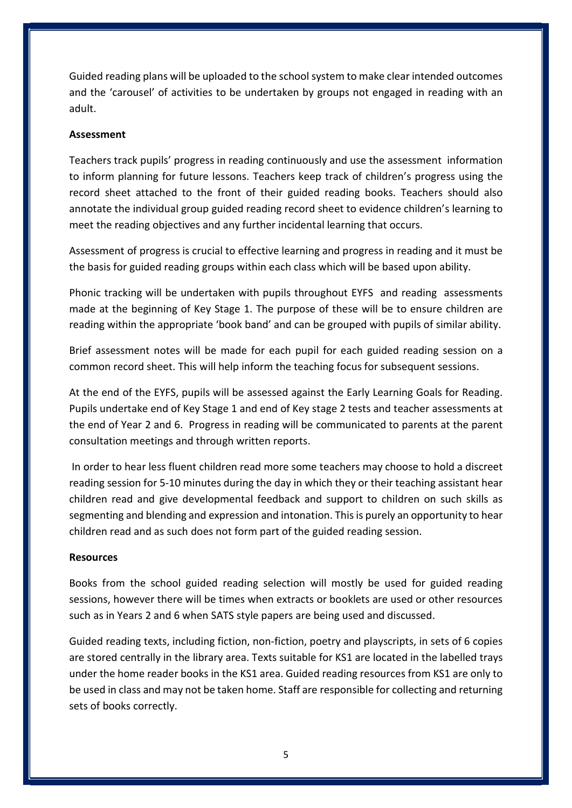Guided reading plans will be uploaded to the school system to make clear intended outcomes and the 'carousel' of activities to be undertaken by groups not engaged in reading with an adult.

#### Assessment

Teachers track pupils' progress in reading continuously and use the assessment information to inform planning for future lessons. Teachers keep track of children's progress using the record sheet attached to the front of their guided reading books. Teachers should also annotate the individual group guided reading record sheet to evidence children's learning to meet the reading objectives and any further incidental learning that occurs.

Assessment of progress is crucial to effective learning and progress in reading and it must be the basis for guided reading groups within each class which will be based upon ability.

Phonic tracking will be undertaken with pupils throughout EYFS and reading assessments made at the beginning of Key Stage 1. The purpose of these will be to ensure children are reading within the appropriate 'book band' and can be grouped with pupils of similar ability.

Brief assessment notes will be made for each pupil for each guided reading session on a common record sheet. This will help inform the teaching focus for subsequent sessions.

At the end of the EYFS, pupils will be assessed against the Early Learning Goals for Reading. Pupils undertake end of Key Stage 1 and end of Key stage 2 tests and teacher assessments at the end of Year 2 and 6. Progress in reading will be communicated to parents at the parent consultation meetings and through written reports.

 In order to hear less fluent children read more some teachers may choose to hold a discreet reading session for 5-10 minutes during the day in which they or their teaching assistant hear children read and give developmental feedback and support to children on such skills as segmenting and blending and expression and intonation. This is purely an opportunity to hear children read and as such does not form part of the guided reading session.

#### Resources

Books from the school guided reading selection will mostly be used for guided reading sessions, however there will be times when extracts or booklets are used or other resources such as in Years 2 and 6 when SATS style papers are being used and discussed.

Guided reading texts, including fiction, non-fiction, poetry and playscripts, in sets of 6 copies are stored centrally in the library area. Texts suitable for KS1 are located in the labelled trays under the home reader books in the KS1 area. Guided reading resources from KS1 are only to be used in class and may not be taken home. Staff are responsible for collecting and returning sets of books correctly.